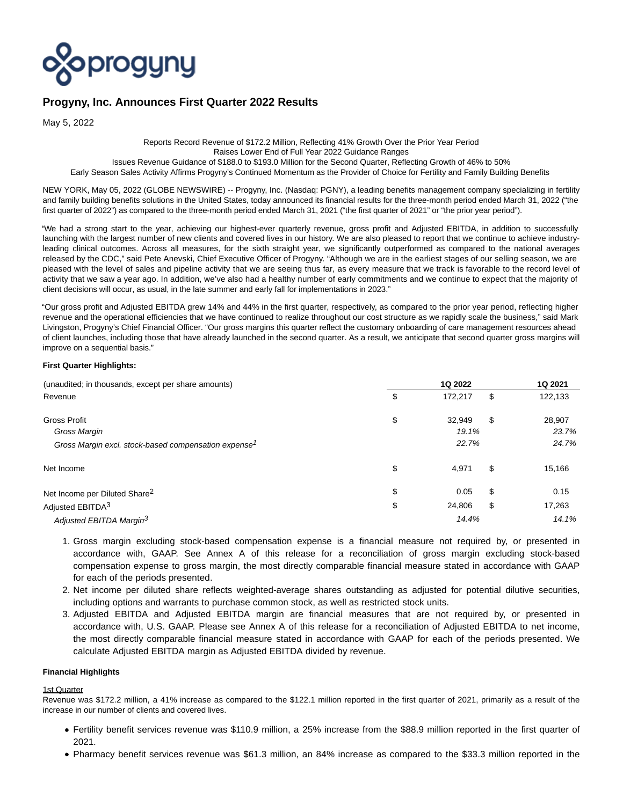

# **Progyny, Inc. Announces First Quarter 2022 Results**

May 5, 2022

Reports Record Revenue of \$172.2 Million, Reflecting 41% Growth Over the Prior Year Period Raises Lower End of Full Year 2022 Guidance Ranges Issues Revenue Guidance of \$188.0 to \$193.0 Million for the Second Quarter, Reflecting Growth of 46% to 50% Early Season Sales Activity Affirms Progyny's Continued Momentum as the Provider of Choice for Fertility and Family Building Benefits

NEW YORK, May 05, 2022 (GLOBE NEWSWIRE) -- Progyny, Inc. (Nasdaq: PGNY), a leading benefits management company specializing in fertility and family building benefits solutions in the United States, today announced its financial results for the three-month period ended March 31, 2022 ("the first quarter of 2022") as compared to the three-month period ended March 31, 2021 ("the first quarter of 2021" or "the prior year period").

"We had a strong start to the year, achieving our highest-ever quarterly revenue, gross profit and Adjusted EBITDA, in addition to successfully launching with the largest number of new clients and covered lives in our history. We are also pleased to report that we continue to achieve industryleading clinical outcomes. Across all measures, for the sixth straight year, we significantly outperformed as compared to the national averages released by the CDC," said Pete Anevski, Chief Executive Officer of Progyny. "Although we are in the earliest stages of our selling season, we are pleased with the level of sales and pipeline activity that we are seeing thus far, as every measure that we track is favorable to the record level of activity that we saw a year ago. In addition, we've also had a healthy number of early commitments and we continue to expect that the majority of client decisions will occur, as usual, in the late summer and early fall for implementations in 2023."

"Our gross profit and Adjusted EBITDA grew 14% and 44% in the first quarter, respectively, as compared to the prior year period, reflecting higher revenue and the operational efficiencies that we have continued to realize throughout our cost structure as we rapidly scale the business," said Mark Livingston, Progyny's Chief Financial Officer. "Our gross margins this quarter reflect the customary onboarding of care management resources ahead of client launches, including those that have already launched in the second quarter. As a result, we anticipate that second quarter gross margins will improve on a sequential basis."

#### **First Quarter Highlights:**

| (unaudited; in thousands, except per share amounts)              | 1Q 2022       |    |         |  |  |
|------------------------------------------------------------------|---------------|----|---------|--|--|
| Revenue                                                          | \$<br>172.217 | \$ | 122,133 |  |  |
| <b>Gross Profit</b>                                              | \$<br>32.949  | \$ | 28,907  |  |  |
| Gross Margin                                                     | 19.1%         |    | 23.7%   |  |  |
| Gross Margin excl. stock-based compensation expense <sup>1</sup> | 22.7%         |    | 24.7%   |  |  |
| Net Income                                                       | \$<br>4.971   | \$ | 15,166  |  |  |
| Net Income per Diluted Share <sup>2</sup>                        | \$<br>0.05    | S. | 0.15    |  |  |
| Adjusted EBITDA <sup>3</sup>                                     | \$<br>24.806  | \$ | 17,263  |  |  |
| Adjusted EBITDA Margin <sup>3</sup>                              | 14.4%         |    | 14.1%   |  |  |

- 1. Gross margin excluding stock-based compensation expense is a financial measure not required by, or presented in accordance with, GAAP. See Annex A of this release for a reconciliation of gross margin excluding stock-based compensation expense to gross margin, the most directly comparable financial measure stated in accordance with GAAP for each of the periods presented.
- 2. Net income per diluted share reflects weighted-average shares outstanding as adjusted for potential dilutive securities, including options and warrants to purchase common stock, as well as restricted stock units.
- Adjusted EBITDA and Adjusted EBITDA margin are financial measures that are not required by, or presented in 3. accordance with, U.S. GAAP. Please see Annex A of this release for a reconciliation of Adjusted EBITDA to net income, the most directly comparable financial measure stated in accordance with GAAP for each of the periods presented. We calculate Adjusted EBITDA margin as Adjusted EBITDA divided by revenue.

## **Financial Highlights**

#### 1st Quarter

Revenue was \$172.2 million, a 41% increase as compared to the \$122.1 million reported in the first quarter of 2021, primarily as a result of the increase in our number of clients and covered lives.

- Fertility benefit services revenue was \$110.9 million, a 25% increase from the \$88.9 million reported in the first quarter of 2021.
- Pharmacy benefit services revenue was \$61.3 million, an 84% increase as compared to the \$33.3 million reported in the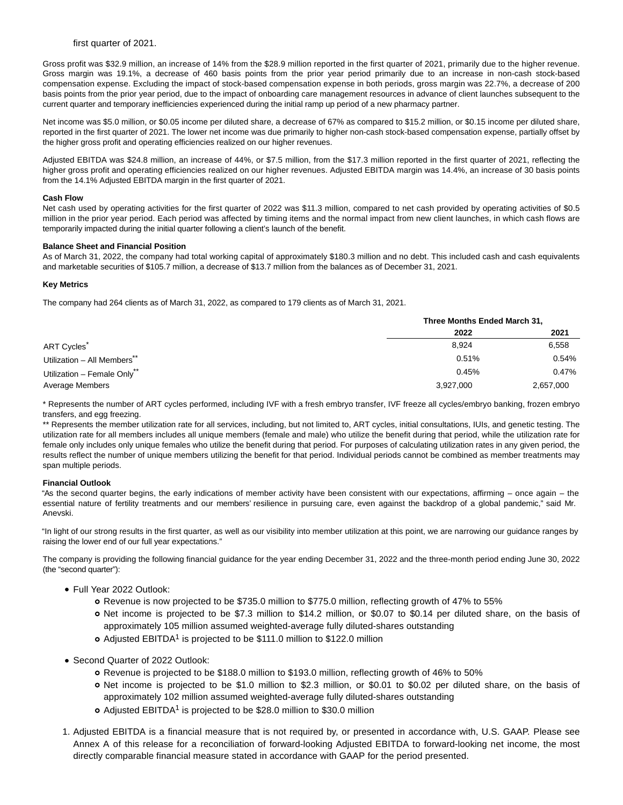### first quarter of 2021.

Gross profit was \$32.9 million, an increase of 14% from the \$28.9 million reported in the first quarter of 2021, primarily due to the higher revenue. Gross margin was 19.1%, a decrease of 460 basis points from the prior year period primarily due to an increase in non-cash stock-based compensation expense. Excluding the impact of stock-based compensation expense in both periods, gross margin was 22.7%, a decrease of 200 basis points from the prior year period, due to the impact of onboarding care management resources in advance of client launches subsequent to the current quarter and temporary inefficiencies experienced during the initial ramp up period of a new pharmacy partner.

Net income was \$5.0 million, or \$0.05 income per diluted share, a decrease of 67% as compared to \$15.2 million, or \$0.15 income per diluted share, reported in the first quarter of 2021. The lower net income was due primarily to higher non-cash stock-based compensation expense, partially offset by the higher gross profit and operating efficiencies realized on our higher revenues.

Adjusted EBITDA was \$24.8 million, an increase of 44%, or \$7.5 million, from the \$17.3 million reported in the first quarter of 2021, reflecting the higher gross profit and operating efficiencies realized on our higher revenues. Adjusted EBITDA margin was 14.4%, an increase of 30 basis points from the 14.1% Adjusted EBITDA margin in the first quarter of 2021.

### **Cash Flow**

Net cash used by operating activities for the first quarter of 2022 was \$11.3 million, compared to net cash provided by operating activities of \$0.5 million in the prior year period. Each period was affected by timing items and the normal impact from new client launches, in which cash flows are temporarily impacted during the initial quarter following a client's launch of the benefit.

#### **Balance Sheet and Financial Position**

As of March 31, 2022, the company had total working capital of approximately \$180.3 million and no debt. This included cash and cash equivalents and marketable securities of \$105.7 million, a decrease of \$13.7 million from the balances as of December 31, 2021.

#### **Key Metrics**

The company had 264 clients as of March 31, 2022, as compared to 179 clients as of March 31, 2021.

|                                         | Three Months Ended March 31, |           |
|-----------------------------------------|------------------------------|-----------|
|                                         | 2022                         | 2021      |
| ART Cycles <sup>*</sup>                 | 8.924                        | 6,558     |
| Utilization - All Members <sup>**</sup> | 0.51%                        | 0.54%     |
| Utilization - Female Only <sup>**</sup> | 0.45%                        | 0.47%     |
| Average Members                         | 3,927,000                    | 2,657,000 |

\* Represents the number of ART cycles performed, including IVF with a fresh embryo transfer, IVF freeze all cycles/embryo banking, frozen embryo transfers, and egg freezing.

\*\* Represents the member utilization rate for all services, including, but not limited to, ART cycles, initial consultations, IUIs, and genetic testing. The utilization rate for all members includes all unique members (female and male) who utilize the benefit during that period, while the utilization rate for female only includes only unique females who utilize the benefit during that period. For purposes of calculating utilization rates in any given period, the results reflect the number of unique members utilizing the benefit for that period. Individual periods cannot be combined as member treatments may span multiple periods.

#### **Financial Outlook**

"As the second quarter begins, the early indications of member activity have been consistent with our expectations, affirming – once again – the essential nature of fertility treatments and our members' resilience in pursuing care, even against the backdrop of a global pandemic," said Mr. Anevski.

"In light of our strong results in the first quarter, as well as our visibility into member utilization at this point, we are narrowing our guidance ranges by raising the lower end of our full year expectations."

The company is providing the following financial guidance for the year ending December 31, 2022 and the three-month period ending June 30, 2022 (the "second quarter"):

- Full Year 2022 Outlook:
	- Revenue is now projected to be \$735.0 million to \$775.0 million, reflecting growth of 47% to 55%
	- Net income is projected to be \$7.3 million to \$14.2 million, or \$0.07 to \$0.14 per diluted share, on the basis of approximately 105 million assumed weighted-average fully diluted-shares outstanding
	- Adjusted EBITDA<sup>1</sup> is projected to be \$111.0 million to \$122.0 million
- Second Quarter of 2022 Outlook:
	- Revenue is projected to be \$188.0 million to \$193.0 million, reflecting growth of 46% to 50%
	- Net income is projected to be \$1.0 million to \$2.3 million, or \$0.01 to \$0.02 per diluted share, on the basis of approximately 102 million assumed weighted-average fully diluted-shares outstanding
	- Adjusted EBITDA<sup>1</sup> is projected to be \$28.0 million to \$30.0 million
- 1. Adjusted EBITDA is a financial measure that is not required by, or presented in accordance with, U.S. GAAP. Please see Annex A of this release for a reconciliation of forward-looking Adjusted EBITDA to forward-looking net income, the most directly comparable financial measure stated in accordance with GAAP for the period presented.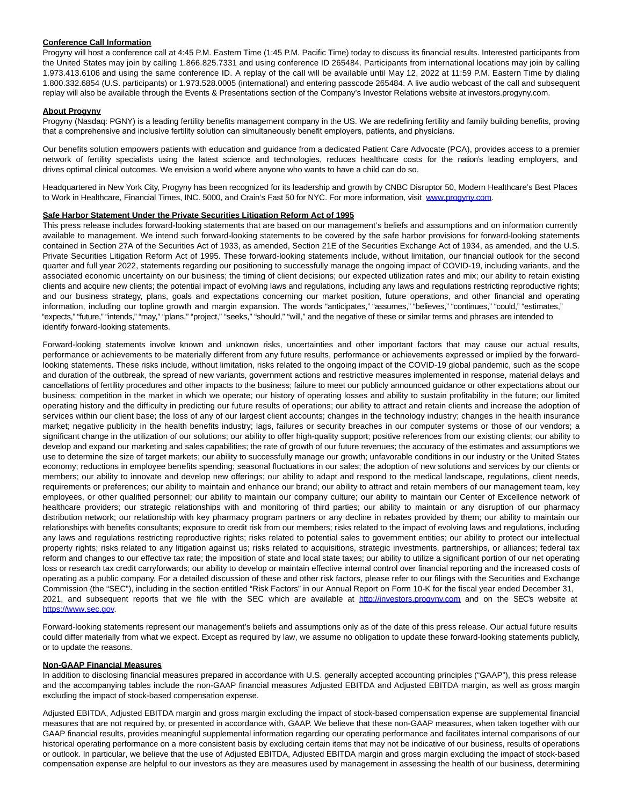#### **Conference Call Information**

Progyny will host a conference call at 4:45 P.M. Eastern Time (1:45 P.M. Pacific Time) today to discuss its financial results. Interested participants from the United States may join by calling 1.866.825.7331 and using conference ID 265484. Participants from international locations may join by calling 1.973.413.6106 and using the same conference ID. A replay of the call will be available until May 12, 2022 at 11:59 P.M. Eastern Time by dialing 1.800.332.6854 (U.S. participants) or 1.973.528.0005 (international) and entering passcode 265484. A live audio webcast of the call and subsequent replay will also be available through the Events & Presentations section of the Company's Investor Relations website at investors.progyny.com.

### **About Progyny**

Progyny (Nasdaq: PGNY) is a leading fertility benefits management company in the US. We are redefining fertility and family building benefits, proving that a comprehensive and inclusive fertility solution can simultaneously benefit employers, patients, and physicians. 

Our benefits solution empowers patients with education and guidance from a dedicated Patient Care Advocate (PCA), provides access to a premier network of fertility specialists using the latest science and technologies, reduces healthcare costs for the nation's leading employers, and drives optimal clinical outcomes. We envision a world where anyone who wants to have a child can do so.

Headquartered in New York City, Progyny has been recognized for its leadership and growth by CNBC Disruptor 50, Modern Healthcare's Best Places to Work in Healthcare, Financial Times, INC. 5000, and Crain's Fast 50 for NYC. For more information, visit [www.progyny.com.](https://www.globenewswire.com/Tracker?data=x-QPQFWvFFRQVL00Y7LS3ty14pkLs9VaHU7-0APg3vDJBhfPdeHl4F0fa1kAjnVOXReCVn-I69ynq7kSbALFtQ==)

#### **Safe Harbor Statement Under the Private Securities Litigation Reform Act of 1995**

This press release includes forward-looking statements that are based on our management's beliefs and assumptions and on information currently available to management. We intend such forward-looking statements to be covered by the safe harbor provisions for forward-looking statements contained in Section 27A of the Securities Act of 1933, as amended, Section 21E of the Securities Exchange Act of 1934, as amended, and the U.S. Private Securities Litigation Reform Act of 1995. These forward-looking statements include, without limitation, our financial outlook for the second quarter and full year 2022, statements regarding our positioning to successfully manage the ongoing impact of COVID-19, including variants, and the associated economic uncertainty on our business; the timing of client decisions; our expected utilization rates and mix; our ability to retain existing clients and acquire new clients; the potential impact of evolving laws and regulations, including any laws and regulations restricting reproductive rights; and our business strategy, plans, goals and expectations concerning our market position, future operations, and other financial and operating information, including our topline growth and margin expansion. The words "anticipates," "assumes," "believes," "continues," "could," "estimates," "expects," "future," "intends," "may," "plans," "project," "seeks," "should," "will," and the negative of these or similar terms and phrases are intended to identify forward-looking statements.

Forward-looking statements involve known and unknown risks, uncertainties and other important factors that may cause our actual results, performance or achievements to be materially different from any future results, performance or achievements expressed or implied by the forwardlooking statements. These risks include, without limitation, risks related to the ongoing impact of the COVID-19 global pandemic, such as the scope and duration of the outbreak, the spread of new variants, government actions and restrictive measures implemented in response, material delays and cancellations of fertility procedures and other impacts to the business; failure to meet our publicly announced guidance or other expectations about our business; competition in the market in which we operate; our history of operating losses and ability to sustain profitability in the future; our limited operating history and the difficulty in predicting our future results of operations; our ability to attract and retain clients and increase the adoption of services within our client base; the loss of any of our largest client accounts; changes in the technology industry; changes in the health insurance market; negative publicity in the health benefits industry; lags, failures or security breaches in our computer systems or those of our vendors; a significant change in the utilization of our solutions; our ability to offer high-quality support; positive references from our existing clients; our ability to develop and expand our marketing and sales capabilities; the rate of growth of our future revenues; the accuracy of the estimates and assumptions we use to determine the size of target markets; our ability to successfully manage our growth; unfavorable conditions in our industry or the United States economy; reductions in employee benefits spending; seasonal fluctuations in our sales; the adoption of new solutions and services by our clients or members; our ability to innovate and develop new offerings; our ability to adapt and respond to the medical landscape, regulations, client needs, requirements or preferences; our ability to maintain and enhance our brand; our ability to attract and retain members of our management team, key employees, or other qualified personnel; our ability to maintain our company culture; our ability to maintain our Center of Excellence network of healthcare providers; our strategic relationships with and monitoring of third parties; our ability to maintain or any disruption of our pharmacy distribution network; our relationship with key pharmacy program partners or any decline in rebates provided by them; our ability to maintain our relationships with benefits consultants; exposure to credit risk from our members; risks related to the impact of evolving laws and regulations, including any laws and regulations restricting reproductive rights; risks related to potential sales to government entities; our ability to protect our intellectual property rights; risks related to any litigation against us; risks related to acquisitions, strategic investments, partnerships, or alliances; federal tax reform and changes to our effective tax rate; the imposition of state and local state taxes; our ability to utilize a significant portion of our net operating loss or research tax credit carryforwards; our ability to develop or maintain effective internal control over financial reporting and the increased costs of operating as a public company. For a detailed discussion of these and other risk factors, please refer to our filings with the Securities and Exchange Commission (the "SEC"), including in the section entitled "Risk Factors" in our Annual Report on Form 10-K for the fiscal year ended December 31, 2021, and subsequent reports that we file with the SEC which are available at [http://investors.progyny.com](https://www.globenewswire.com/Tracker?data=iNimay2evEDJSX-nUC8BwwnuT9ZtTp2HFzOJ3m-fHPRWCEdlFN0K_1ntEpK3Eli9M0Z2Impbew8yvKVr6R9XtEq9WeQtkp8xgtOSDdFMr0c=) and on the SEC's website at [https://www.sec.gov.](https://www.globenewswire.com/Tracker?data=d8boM82f_KNwhJ54h6teHqrAcXXmgI41yZzmINh1_Vr5-_lrWRhDjtClahAbG6K2rC-7GywnEdQ0uAOMwHuJEg==)

Forward-looking statements represent our management's beliefs and assumptions only as of the date of this press release. Our actual future results could differ materially from what we expect. Except as required by law, we assume no obligation to update these forward-looking statements publicly, or to update the reasons.

#### **Non-GAAP Financial Measures**

In addition to disclosing financial measures prepared in accordance with U.S. generally accepted accounting principles ("GAAP"), this press release and the accompanying tables include the non-GAAP financial measures Adjusted EBITDA and Adjusted EBITDA margin, as well as gross margin excluding the impact of stock-based compensation expense.

Adjusted EBITDA, Adjusted EBITDA margin and gross margin excluding the impact of stock-based compensation expense are supplemental financial measures that are not required by, or presented in accordance with, GAAP. We believe that these non-GAAP measures, when taken together with our GAAP financial results, provides meaningful supplemental information regarding our operating performance and facilitates internal comparisons of our historical operating performance on a more consistent basis by excluding certain items that may not be indicative of our business, results of operations or outlook. In particular, we believe that the use of Adjusted EBITDA, Adjusted EBITDA margin and gross margin excluding the impact of stock-based compensation expense are helpful to our investors as they are measures used by management in assessing the health of our business, determining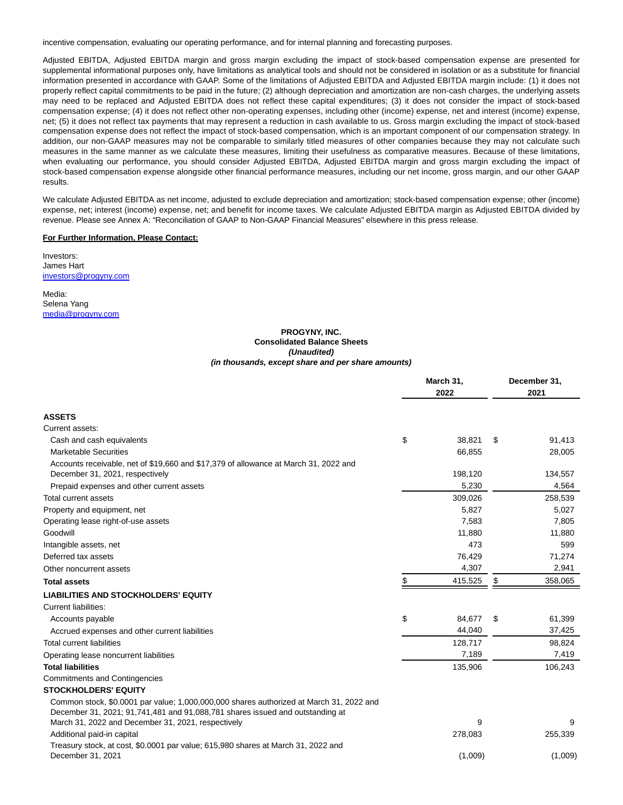incentive compensation, evaluating our operating performance, and for internal planning and forecasting purposes.

Adjusted EBITDA, Adjusted EBITDA margin and gross margin excluding the impact of stock-based compensation expense are presented for supplemental informational purposes only, have limitations as analytical tools and should not be considered in isolation or as a substitute for financial information presented in accordance with GAAP. Some of the limitations of Adjusted EBITDA and Adjusted EBITDA margin include: (1) it does not properly reflect capital commitments to be paid in the future; (2) although depreciation and amortization are non-cash charges, the underlying assets may need to be replaced and Adjusted EBITDA does not reflect these capital expenditures; (3) it does not consider the impact of stock-based compensation expense; (4) it does not reflect other non-operating expenses, including other (income) expense, net and interest (income) expense, net; (5) it does not reflect tax payments that may represent a reduction in cash available to us. Gross margin excluding the impact of stock-based compensation expense does not reflect the impact of stock-based compensation, which is an important component of our compensation strategy. In addition, our non-GAAP measures may not be comparable to similarly titled measures of other companies because they may not calculate such measures in the same manner as we calculate these measures, limiting their usefulness as comparative measures. Because of these limitations, when evaluating our performance, you should consider Adjusted EBITDA, Adjusted EBITDA margin and gross margin excluding the impact of stock-based compensation expense alongside other financial performance measures, including our net income, gross margin, and our other GAAP results.

We calculate Adjusted EBITDA as net income, adjusted to exclude depreciation and amortization; stock-based compensation expense; other (income) expense, net; interest (income) expense, net; and benefit for income taxes. We calculate Adjusted EBITDA margin as Adjusted EBITDA divided by revenue. Please see Annex A: "Reconciliation of GAAP to Non-GAAP Financial Measures" elsewhere in this press release.

#### **For Further Information, Please Contact:**

Investors: James Hart [investors@progyny.com](https://www.globenewswire.com/Tracker?data=1bYmGK9PoMqt9BjISGcoDNi_kUPvzMEr4dkLyPZ5qjeY-8CZOQqUFhRXqFJaVhnsl0YrGZfjH7sNgzvh84OSPBpyGeX2ftoiAiqhq41O11g=)

Media: Selena Yang [media@progyny.com](https://www.globenewswire.com/Tracker?data=_N2BP66gseFkXKbMJwmpoNsHhN7JKyUfn_LwWpkSNNfFmLoimLNabrBblxH7c4Ov41_OPeyhUJa_fO7owDIUwQ==)

#### **PROGYNY, INC. Consolidated Balance Sheets (Unaudited) (in thousands, except share and per share amounts)**

|                                                                                                                                                                          | March 31,<br>2022 |    | December 31,<br>2021 |
|--------------------------------------------------------------------------------------------------------------------------------------------------------------------------|-------------------|----|----------------------|
| <b>ASSETS</b>                                                                                                                                                            |                   |    |                      |
| Current assets:                                                                                                                                                          |                   |    |                      |
| Cash and cash equivalents                                                                                                                                                | \$<br>38,821      | S  | 91,413               |
| <b>Marketable Securities</b>                                                                                                                                             | 66,855            |    | 28,005               |
| Accounts receivable, net of \$19,660 and \$17,379 of allowance at March 31, 2022 and                                                                                     |                   |    |                      |
| December 31, 2021, respectively                                                                                                                                          | 198,120           |    | 134,557              |
| Prepaid expenses and other current assets                                                                                                                                | 5,230             |    | 4,564                |
| <b>Total current assets</b>                                                                                                                                              | 309,026           |    | 258,539              |
| Property and equipment, net                                                                                                                                              | 5,827             |    | 5,027                |
| Operating lease right-of-use assets                                                                                                                                      | 7,583             |    | 7,805                |
| Goodwill                                                                                                                                                                 | 11,880            |    | 11,880               |
| Intangible assets, net                                                                                                                                                   | 473               |    | 599                  |
| Deferred tax assets                                                                                                                                                      | 76,429            |    | 71,274               |
| Other noncurrent assets                                                                                                                                                  | 4,307             |    | 2,941                |
| <b>Total assets</b>                                                                                                                                                      | \$<br>415,525     | \$ | 358,065              |
| <b>LIABILITIES AND STOCKHOLDERS' EQUITY</b>                                                                                                                              |                   |    |                      |
| Current liabilities:                                                                                                                                                     |                   |    |                      |
| Accounts payable                                                                                                                                                         | \$<br>84.677      | \$ | 61,399               |
| Accrued expenses and other current liabilities                                                                                                                           | 44,040            |    | 37,425               |
| <b>Total current liabilities</b>                                                                                                                                         | 128,717           |    | 98,824               |
| Operating lease noncurrent liabilities                                                                                                                                   | 7,189             |    | 7,419                |
| <b>Total liabilities</b>                                                                                                                                                 | 135,906           |    | 106,243              |
| <b>Commitments and Contingencies</b>                                                                                                                                     |                   |    |                      |
| <b>STOCKHOLDERS' EQUITY</b>                                                                                                                                              |                   |    |                      |
| Common stock, \$0.0001 par value; 1,000,000,000 shares authorized at March 31, 2022 and<br>December 31, 2021; 91,741,481 and 91,088,781 shares issued and outstanding at |                   |    |                      |
| March 31, 2022 and December 31, 2021, respectively                                                                                                                       | 9                 |    |                      |
| Additional paid-in capital                                                                                                                                               | 278,083           |    | 255,339              |
| Treasury stock, at cost, \$0.0001 par value; 615,980 shares at March 31, 2022 and<br>December 31, 2021                                                                   | (1,009)           |    | (1,009)              |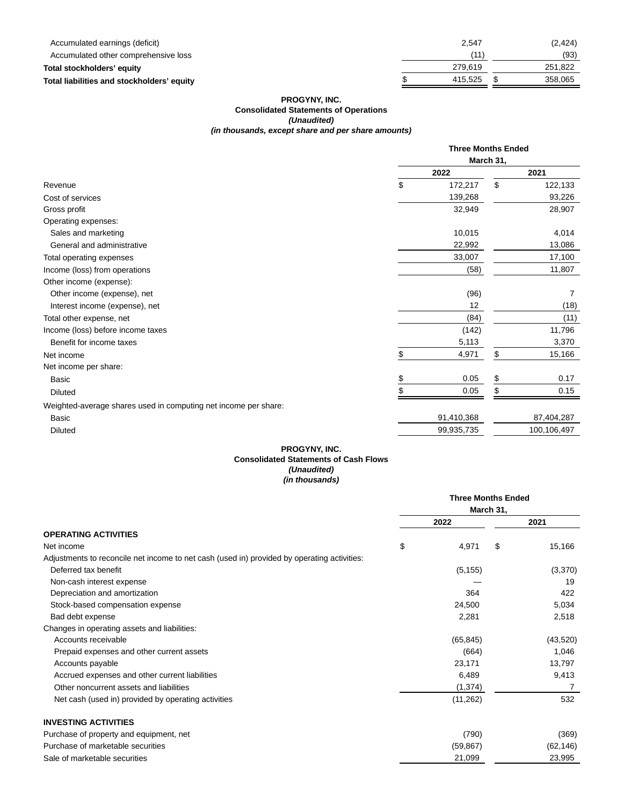**Total stockholders' equity** 

# **Total liabilities and stockholders' equity**

| otal liabilities and stockholders' equity |                 |          |
|-------------------------------------------|-----------------|----------|
|                                           | 415.525         | 358.065  |
| otal stockholders' equity                 | 279.619         | 251.822  |
| Accumulated other comprehensive loss      | $^{\prime}$ 11. | (93)     |
| Accumulated earnings (deficit)            | 2.547           | (2, 424) |
|                                           |                 |          |

### **PROGYNY, INC. Consolidated Statements of Operations (Unaudited) (in thousands, except share and per share amounts)**

|                                                                 | <b>Three Months Ended</b> |            |    |             |  |
|-----------------------------------------------------------------|---------------------------|------------|----|-------------|--|
|                                                                 | March 31,                 |            |    |             |  |
|                                                                 |                           | 2022       |    | 2021        |  |
| Revenue                                                         | \$                        | 172,217    | \$ | 122,133     |  |
| Cost of services                                                |                           | 139,268    |    | 93,226      |  |
| Gross profit                                                    |                           | 32,949     |    | 28,907      |  |
| Operating expenses:                                             |                           |            |    |             |  |
| Sales and marketing                                             |                           | 10,015     |    | 4,014       |  |
| General and administrative                                      |                           | 22,992     |    | 13,086      |  |
| Total operating expenses                                        |                           | 33,007     |    | 17,100      |  |
| Income (loss) from operations                                   |                           | (58)       |    | 11,807      |  |
| Other income (expense):                                         |                           |            |    |             |  |
| Other income (expense), net                                     |                           | (96)       |    | 7           |  |
| Interest income (expense), net                                  |                           | 12         |    | (18)        |  |
| Total other expense, net                                        |                           | (84)       |    | (11)        |  |
| Income (loss) before income taxes                               |                           | (142)      |    | 11,796      |  |
| Benefit for income taxes                                        |                           | 5,113      |    | 3,370       |  |
| Net income                                                      | \$                        | 4,971      | \$ | 15,166      |  |
| Net income per share:                                           |                           |            |    |             |  |
| <b>Basic</b>                                                    | \$                        | 0.05       | \$ | 0.17        |  |
| <b>Diluted</b>                                                  | \$                        | 0.05       | \$ | 0.15        |  |
| Weighted-average shares used in computing net income per share: |                           |            |    |             |  |
| <b>Basic</b>                                                    |                           | 91,410,368 |    | 87,404,287  |  |
| <b>Diluted</b>                                                  |                           | 99,935,735 |    | 100,106,497 |  |

## **PROGYNY, INC. Consolidated Statements of Cash Flows (Unaudited) (in thousands)**

|                                                                                             | <b>Three Months Ended</b> |           |    |           |
|---------------------------------------------------------------------------------------------|---------------------------|-----------|----|-----------|
|                                                                                             | March 31,                 |           |    |           |
|                                                                                             |                           | 2022      |    | 2021      |
| <b>OPERATING ACTIVITIES</b>                                                                 |                           |           |    |           |
| Net income                                                                                  | \$                        | 4,971     | \$ | 15,166    |
| Adjustments to reconcile net income to net cash (used in) provided by operating activities: |                           |           |    |           |
| Deferred tax benefit                                                                        |                           | (5, 155)  |    | (3,370)   |
| Non-cash interest expense                                                                   |                           |           |    | 19        |
| Depreciation and amortization                                                               |                           | 364       |    | 422       |
| Stock-based compensation expense                                                            |                           | 24,500    |    | 5,034     |
| Bad debt expense                                                                            |                           | 2,281     |    | 2,518     |
| Changes in operating assets and liabilities:                                                |                           |           |    |           |
| Accounts receivable                                                                         |                           | (65, 845) |    | (43, 520) |
| Prepaid expenses and other current assets                                                   |                           | (664)     |    | 1,046     |
| Accounts payable                                                                            |                           | 23,171    |    | 13,797    |
| Accrued expenses and other current liabilities                                              |                           | 6,489     |    | 9,413     |
| Other noncurrent assets and liabilities                                                     |                           | (1, 374)  |    | 7         |
| Net cash (used in) provided by operating activities                                         |                           | (11, 262) |    | 532       |
| <b>INVESTING ACTIVITIES</b>                                                                 |                           |           |    |           |
| Purchase of property and equipment, net                                                     |                           | (790)     |    | (369)     |
| Purchase of marketable securities                                                           |                           | (59, 867) |    | (62, 146) |
| Sale of marketable securities                                                               |                           | 21,099    |    | 23,995    |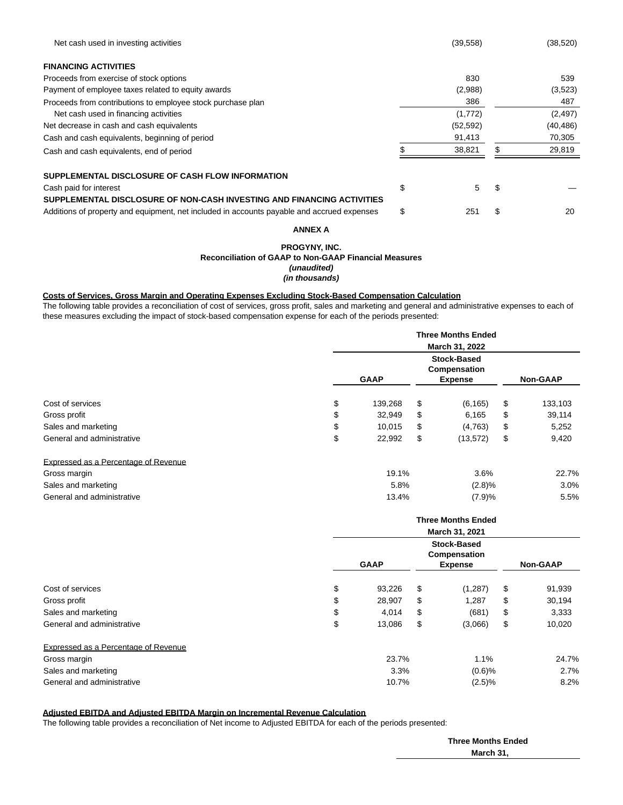| Net cash used in investing activities                                                      | (39, 558) | (38, 520) |
|--------------------------------------------------------------------------------------------|-----------|-----------|
| <b>FINANCING ACTIVITIES</b>                                                                |           |           |
| Proceeds from exercise of stock options                                                    | 830       | 539       |
| Payment of employee taxes related to equity awards                                         | (2,988)   | (3,523)   |
| Proceeds from contributions to employee stock purchase plan                                | 386       | 487       |
| Net cash used in financing activities                                                      | (1,772)   | (2, 497)  |
| Net decrease in cash and cash equivalents                                                  | (52, 592) | (40, 486) |
| Cash and cash equivalents, beginning of period                                             | 91,413    | 70,305    |
| Cash and cash equivalents, end of period                                                   | 38,821    | 29,819    |
| SUPPLEMENTAL DISCLOSURE OF CASH FLOW INFORMATION                                           |           |           |
| Cash paid for interest                                                                     | \$<br>5   | \$        |
| SUPPLEMENTAL DISCLOSURE OF NON-CASH INVESTING AND FINANCING ACTIVITIES                     |           |           |
| Additions of property and equipment, net included in accounts payable and accrued expenses | \$<br>251 | \$<br>20  |

## **ANNEX A**

## **PROGYNY, INC. Reconciliation of GAAP to Non-GAAP Financial Measures (unaudited) (in thousands)**

# **Costs of Services, Gross Margin and Operating Expenses Excluding Stock-Based Compensation Calculation**

The following table provides a reconciliation of cost of services, gross profit, sales and marketing and general and administrative expenses to each of these measures excluding the impact of stock-based compensation expense for each of the periods presented:

|                                      | <b>Three Months Ended</b> |    |                                                                        |    |                 |
|--------------------------------------|---------------------------|----|------------------------------------------------------------------------|----|-----------------|
|                                      | <b>GAAP</b>               |    | March 31, 2022<br><b>Stock-Based</b><br>Compensation<br><b>Expense</b> |    | <b>Non-GAAP</b> |
| Cost of services                     | \$<br>139,268             | \$ | (6, 165)                                                               | \$ | 133,103         |
| Gross profit                         | \$<br>32,949              | \$ | 6,165                                                                  | \$ | 39,114          |
| Sales and marketing                  | \$<br>10,015              | \$ | (4,763)                                                                | \$ | 5,252           |
| General and administrative           | \$<br>22,992              | \$ | (13, 572)                                                              | \$ | 9,420           |
| Expressed as a Percentage of Revenue |                           |    |                                                                        |    |                 |
| Gross margin                         | 19.1%                     |    | 3.6%                                                                   |    | 22.7%           |
| Sales and marketing                  | 5.8%                      |    | (2.8)%                                                                 |    | 3.0%            |
| General and administrative           | 13.4%                     |    | (7.9)%                                                                 |    | 5.5%            |

|                                             | <b>Three Months Ended</b><br>March 31, 2021 |    |                                                      |    |                 |
|---------------------------------------------|---------------------------------------------|----|------------------------------------------------------|----|-----------------|
|                                             | <b>GAAP</b>                                 |    | <b>Stock-Based</b><br>Compensation<br><b>Expense</b> |    | <b>Non-GAAP</b> |
| Cost of services                            | \$<br>93,226                                | \$ | (1,287)                                              | \$ | 91,939          |
| Gross profit                                | \$<br>28,907                                | \$ | 1,287                                                | \$ | 30,194          |
| Sales and marketing                         | \$<br>4,014                                 | \$ | (681)                                                | \$ | 3,333           |
| General and administrative                  | \$<br>13,086                                | \$ | (3,066)                                              | \$ | 10,020          |
| <b>Expressed as a Percentage of Revenue</b> |                                             |    |                                                      |    |                 |
| Gross margin                                | 23.7%                                       |    | 1.1%                                                 |    | 24.7%           |
| Sales and marketing                         | 3.3%                                        |    | (0.6)%                                               |    | 2.7%            |
| General and administrative                  | 10.7%                                       |    | (2.5)%                                               |    | 8.2%            |

## **Adjusted EBITDA and Adjusted EBITDA Margin on Incremental Revenue Calculation**

The following table provides a reconciliation of Net income to Adjusted EBITDA for each of the periods presented:

| <b>Three Months Ended</b> |  |
|---------------------------|--|
| March 31,                 |  |